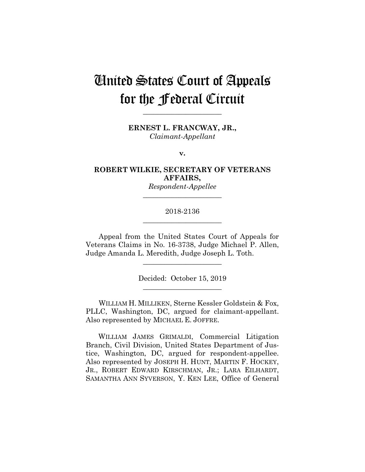# United States Court of Appeals for the Federal Circuit

**\_\_\_\_\_\_\_\_\_\_\_\_\_\_\_\_\_\_\_\_\_\_** 

**ERNEST L. FRANCWAY, JR.,** *Claimant-Appellant*

**v.**

**ROBERT WILKIE, SECRETARY OF VETERANS AFFAIRS,**

*Respondent-Appellee* **\_\_\_\_\_\_\_\_\_\_\_\_\_\_\_\_\_\_\_\_\_\_** 

# 2018-2136 **\_\_\_\_\_\_\_\_\_\_\_\_\_\_\_\_\_\_\_\_\_\_**

Appeal from the United States Court of Appeals for Veterans Claims in No. 16-3738, Judge Michael P. Allen, Judge Amanda L. Meredith, Judge Joseph L. Toth.

**\_\_\_\_\_\_\_\_\_\_\_\_\_\_\_\_\_\_\_\_\_\_** 

Decided: October 15, 2019 **\_\_\_\_\_\_\_\_\_\_\_\_\_\_\_\_\_\_\_\_\_\_** 

WILLIAM H. MILLIKEN, Sterne Kessler Goldstein & Fox, PLLC, Washington, DC, argued for claimant-appellant. Also represented by MICHAEL E. JOFFRE.

 WILLIAM JAMES GRIMALDI, Commercial Litigation Branch, Civil Division, United States Department of Justice, Washington, DC, argued for respondent-appellee. Also represented by JOSEPH H. HUNT, MARTIN F. HOCKEY, JR., ROBERT EDWARD KIRSCHMAN, JR.; LARA EILHARDT, SAMANTHA ANN SYVERSON, Y. KEN LEE, Office of General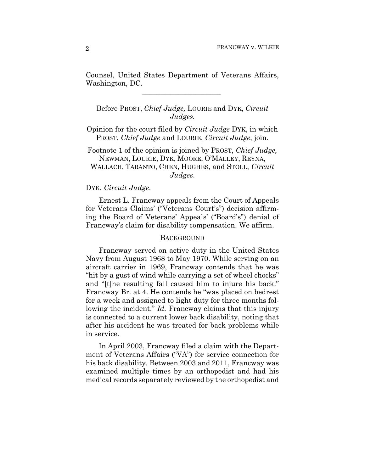Counsel, United States Department of Veterans Affairs, Washington, DC.

 $\mathcal{L}_\text{max}$  and  $\mathcal{L}_\text{max}$  and  $\mathcal{L}_\text{max}$  and  $\mathcal{L}_\text{max}$ 

Before PROST, *Chief Judge,* LOURIE and DYK, *Circuit Judges.*

Opinion for the court filed by *Circuit Judge* DYK, in which PROST, *Chief Judge* and LOURIE, *Circuit Judge*, join.

Footnote 1 of the opinion is joined by PROST, *Chief Judge,*  NEWMAN, LOURIE, DYK, MOORE, O'MALLEY, REYNA, WALLACH, TARANTO, CHEN, HUGHES, and STOLL, *Circuit* 

*Judges*.

#### DYK, *Circuit Judge*.

Ernest L. Francway appeals from the Court of Appeals for Veterans Claims' ("Veterans Court's") decision affirming the Board of Veterans' Appeals' ("Board's") denial of Francway's claim for disability compensation. We affirm.

#### **BACKGROUND**

Francway served on active duty in the United States Navy from August 1968 to May 1970. While serving on an aircraft carrier in 1969, Francway contends that he was "hit by a gust of wind while carrying a set of wheel chocks" and "[t]he resulting fall caused him to injure his back." Francway Br. at 4. He contends he "was placed on bedrest for a week and assigned to light duty for three months following the incident." *Id.* Francway claims that this injury is connected to a current lower back disability, noting that after his accident he was treated for back problems while in service.

In April 2003, Francway filed a claim with the Department of Veterans Affairs ("VA") for service connection for his back disability. Between 2003 and 2011, Francway was examined multiple times by an orthopedist and had his medical records separately reviewed by the orthopedist and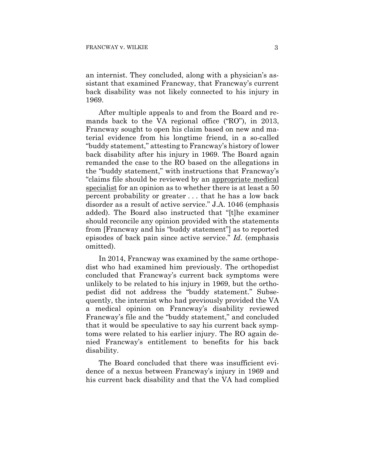an internist. They concluded, along with a physician's assistant that examined Francway, that Francway's current back disability was not likely connected to his injury in 1969.

After multiple appeals to and from the Board and remands back to the VA regional office ("RO"), in 2013, Francway sought to open his claim based on new and material evidence from his longtime friend, in a so-called "buddy statement," attesting to Francway's history of lower back disability after his injury in 1969. The Board again remanded the case to the RO based on the allegations in the "buddy statement," with instructions that Francway's "claims file should be reviewed by an appropriate medical specialist for an opinion as to whether there is at least a 50 percent probability or greater . . . that he has a low back disorder as a result of active service." J.A. 1046 (emphasis added). The Board also instructed that "[t]he examiner should reconcile any opinion provided with the statements from [Francway and his "buddy statement"] as to reported episodes of back pain since active service." *Id.* (emphasis omitted).

In 2014, Francway was examined by the same orthopedist who had examined him previously. The orthopedist concluded that Francway's current back symptoms were unlikely to be related to his injury in 1969, but the orthopedist did not address the "buddy statement." Subsequently, the internist who had previously provided the VA a medical opinion on Francway's disability reviewed Francway's file and the "buddy statement," and concluded that it would be speculative to say his current back symptoms were related to his earlier injury. The RO again denied Francway's entitlement to benefits for his back disability.

The Board concluded that there was insufficient evidence of a nexus between Francway's injury in 1969 and his current back disability and that the VA had complied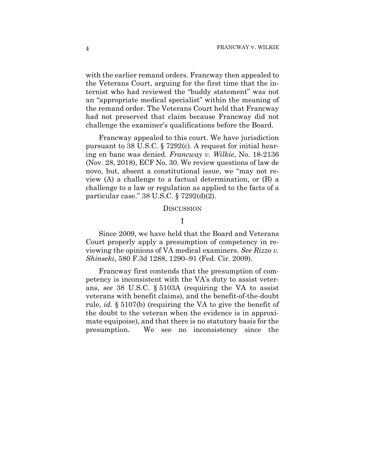with the earlier remand orders. Francway then appealed to the Veterans Court, arguing for the first time that the internist who had reviewed the "buddy statement" was not an "appropriate medical specialist" within the meaning of the remand order. The Veterans Court held that Francway had not preserved that claim because Francway did not challenge the examiner's qualifications before the Board.

Francway appealed to this court. We have jurisdiction pursuant to 38 U.S.C. § 7292(c). A request for initial hearing en banc was denied. *Francway v. Wilkie*, No. 18-2136 (Nov. 28, 2018), ECF No. 30. We review questions of law de novo, but, absent a constitutional issue, we "may not review (A) a challenge to a factual determination, or (B) a challenge to a law or regulation as applied to the facts of a particular case." 38 U.S.C. § 7292(d)(2).

#### **DISCUSSION**

# I

Since 2009, we have held that the Board and Veterans Court properly apply a presumption of competency in reviewing the opinions of VA medical examiners. *See Rizzo v. Shinseki*, 580 F.3d 1288, 1290–91 (Fed. Cir. 2009).

Francway first contends that the presumption of competency is inconsistent with the VA's duty to assist veterans, *see* 38 U.S.C. § 5103A (requiring the VA to assist veterans with benefit claims), and the benefit-of-the-doubt rule, *id.* § 5107(b) (requiring the VA to give the benefit of the doubt to the veteran when the evidence is in approximate equipoise), and that there is no statutory basis for the presumption. We see no inconsistency since the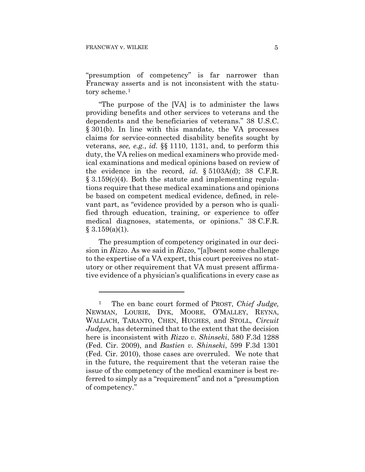1

"presumption of competency" is far narrower than Francway asserts and is not inconsistent with the statutory scheme.<sup>1</sup>

"The purpose of the [VA] is to administer the laws providing benefits and other services to veterans and the dependents and the beneficiaries of veterans." 38 U.S.C. § 301(b). In line with this mandate, the VA processes claims for service-connected disability benefits sought by veterans, *see, e.g.*, *id.* §§ 1110, 1131, and, to perform this duty, the VA relies on medical examiners who provide medical examinations and medical opinions based on review of the evidence in the record, *id.* § 5103A(d); 38 C.F.R.  $\S 3.159(c)(4)$ . Both the statute and implementing regulations require that these medical examinations and opinions be based on competent medical evidence, defined, in relevant part, as "evidence provided by a person who is qualified through education, training, or experience to offer medical diagnoses, statements, or opinions." 38 C.F.R.  $§ 3.159(a)(1).$ 

The presumption of competency originated in our decision in *Rizzo*. As we said in *Rizzo*, "[a]bsent some challenge to the expertise of a VA expert, this court perceives no statutory or other requirement that VA must present affirmative evidence of a physician's qualifications in every case as

<sup>1</sup> The en banc court formed of PROST, *Chief Judge,*  NEWMAN, LOURIE, DYK, MOORE, O'MALLEY, REYNA, WALLACH, TARANTO, CHEN, HUGHES, and STOLL, *Circuit Judges*, has determined that to the extent that the decision here is inconsistent with *Rizzo v. Shinseki*, 580 F.3d 1288 (Fed. Cir. 2009), and *Bastien v. Shinseki*, 599 F.3d 1301 (Fed. Cir. 2010), those cases are overruled. We note that in the future, the requirement that the veteran raise the issue of the competency of the medical examiner is best referred to simply as a "requirement" and not a "presumption of competency."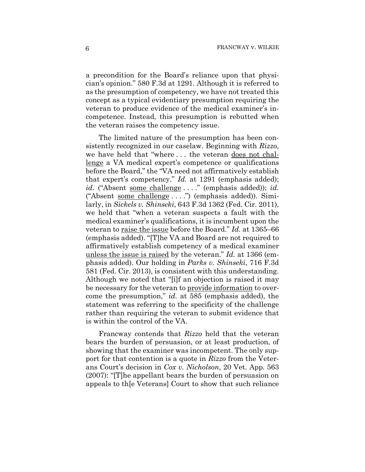a precondition for the Board's reliance upon that physician's opinion." 580 F.3d at 1291. Although it is referred to as the presumption of competency, we have not treated this concept as a typical evidentiary presumption requiring the veteran to produce evidence of the medical examiner's incompetence. Instead, this presumption is rebutted when the veteran raises the competency issue.

The limited nature of the presumption has been consistently recognized in our caselaw. Beginning with *Rizzo*, we have held that "where . . . the veteran does not challenge a VA medical expert's competence or qualifications before the Board," the "VA need not affirmatively establish that expert's competency." *Id.* at 1291 (emphasis added); *id.* ("Absent some challenge . . . ." (emphasis added)); *id.* ("Absent some challenge . . . .") (emphasis added)). Similarly, in *Sickels v. Shinseki*, 643 F.3d 1362 (Fed. Cir. 2011), we held that "when a veteran suspects a fault with the medical examiner's qualifications, it is incumbent upon the veteran to raise the issue before the Board." *Id.* at 1365–66 (emphasis added). "[T]he VA and Board are not required to affirmatively establish competency of a medical examiner unless the issue is raised by the veteran." *Id.* at 1366 (emphasis added). Our holding in *Parks v. Shinseki*, 716 F.3d 581 (Fed. Cir. 2013), is consistent with this understanding. Although we noted that "[i]f an objection is raised it may be necessary for the veteran to provide information to overcome the presumption," *id.* at 585 (emphasis added), the statement was referring to the specificity of the challenge rather than requiring the veteran to submit evidence that is within the control of the VA.

Francway contends that *Rizzo* held that the veteran bears the burden of persuasion, or at least production, of showing that the examiner was incompetent. The only support for that contention is a quote in *Rizzo* from the Veterans Court's decision in *Cox v. Nicholson*, 20 Vet. App. 563 (2007): "[T]he appellant bears the burden of persuasion on appeals to th[e Veterans] Court to show that such reliance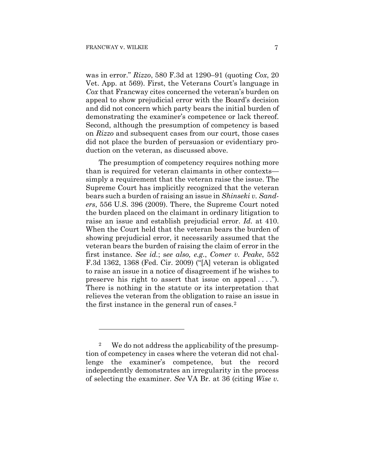1

was in error." *Rizzo*, 580 F.3d at 1290–91 (quoting *Cox*, 20 Vet. App. at 569). First, the Veterans Court's language in *Cox* that Francway cites concerned the veteran's burden on appeal to show prejudicial error with the Board's decision and did not concern which party bears the initial burden of demonstrating the examiner's competence or lack thereof. Second, although the presumption of competency is based on *Rizzo* and subsequent cases from our court, those cases did not place the burden of persuasion or evidentiary production on the veteran, as discussed above.

The presumption of competency requires nothing more than is required for veteran claimants in other contexts simply a requirement that the veteran raise the issue. The Supreme Court has implicitly recognized that the veteran bears such a burden of raising an issue in *Shinseki v. Sanders*, 556 U.S. 396 (2009). There, the Supreme Court noted the burden placed on the claimant in ordinary litigation to raise an issue and establish prejudicial error. *Id.* at 410. When the Court held that the veteran bears the burden of showing prejudicial error, it necessarily assumed that the veteran bears the burden of raising the claim of error in the first instance. *See id.*; s*ee also, e.g.*, *Comer v. Peake*, 552 F.3d 1362, 1368 (Fed. Cir. 2009) ("[A] veteran is obligated to raise an issue in a notice of disagreement if he wishes to preserve his right to assert that issue on appeal  $\dots$ . There is nothing in the statute or its interpretation that relieves the veteran from the obligation to raise an issue in the first instance in the general run of cases.2

<sup>2</sup> We do not address the applicability of the presumption of competency in cases where the veteran did not challenge the examiner's competence, but the record independently demonstrates an irregularity in the process of selecting the examiner. *See* VA Br. at 36 (citing *Wise v.*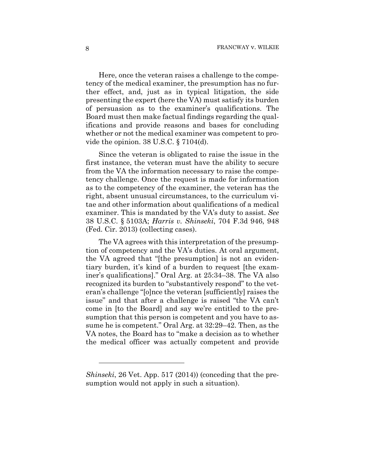Here, once the veteran raises a challenge to the competency of the medical examiner, the presumption has no further effect, and, just as in typical litigation, the side presenting the expert (here the VA) must satisfy its burden of persuasion as to the examiner's qualifications. The Board must then make factual findings regarding the qualifications and provide reasons and bases for concluding whether or not the medical examiner was competent to provide the opinion. 38 U.S.C. § 7104(d).

Since the veteran is obligated to raise the issue in the first instance, the veteran must have the ability to secure from the VA the information necessary to raise the competency challenge. Once the request is made for information as to the competency of the examiner, the veteran has the right, absent unusual circumstances, to the curriculum vitae and other information about qualifications of a medical examiner. This is mandated by the VA's duty to assist. *See*  38 U.S.C. § 5103A; *Harris v. Shinseki*, 704 F.3d 946, 948 (Fed. Cir. 2013) (collecting cases).

The VA agrees with this interpretation of the presumption of competency and the VA's duties. At oral argument, the VA agreed that "[the presumption] is not an evidentiary burden, it's kind of a burden to request [the examiner's qualifications]." Oral Arg. at 25:34–38. The VA also recognized its burden to "substantively respond" to the veteran's challenge "[o]nce the veteran [sufficiently] raises the issue" and that after a challenge is raised "the VA can't come in [to the Board] and say we're entitled to the presumption that this person is competent and you have to assume he is competent." Oral Arg. at 32:29–42. Then, as the VA notes, the Board has to "make a decision as to whether the medical officer was actually competent and provide

<u>.</u>

*Shinseki*, 26 Vet. App. 517 (2014)) (conceding that the presumption would not apply in such a situation).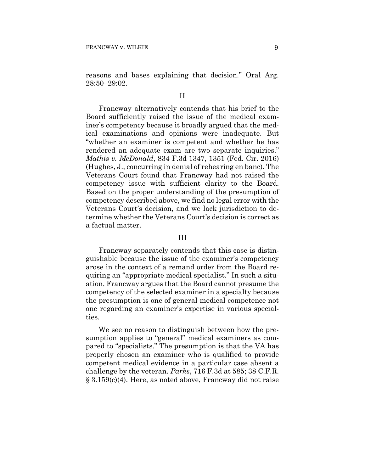reasons and bases explaining that decision." Oral Arg. 28:50–29:02.

## II

Francway alternatively contends that his brief to the Board sufficiently raised the issue of the medical examiner's competency because it broadly argued that the medical examinations and opinions were inadequate. But "whether an examiner is competent and whether he has rendered an adequate exam are two separate inquiries." *Mathis v. McDonald*, 834 F.3d 1347, 1351 (Fed. Cir. 2016) (Hughes, J., concurring in denial of rehearing en banc). The Veterans Court found that Francway had not raised the competency issue with sufficient clarity to the Board. Based on the proper understanding of the presumption of competency described above, we find no legal error with the Veterans Court's decision, and we lack jurisdiction to determine whether the Veterans Court's decision is correct as a factual matter.

## III

Francway separately contends that this case is distinguishable because the issue of the examiner's competency arose in the context of a remand order from the Board requiring an "appropriate medical specialist." In such a situation, Francway argues that the Board cannot presume the competency of the selected examiner in a specialty because the presumption is one of general medical competence not one regarding an examiner's expertise in various specialties.

We see no reason to distinguish between how the presumption applies to "general" medical examiners as compared to "specialists." The presumption is that the VA has properly chosen an examiner who is qualified to provide competent medical evidence in a particular case absent a challenge by the veteran. *Parks*, 716 F.3d at 585; 38 C.F.R. § 3.159(c)(4). Here, as noted above, Francway did not raise